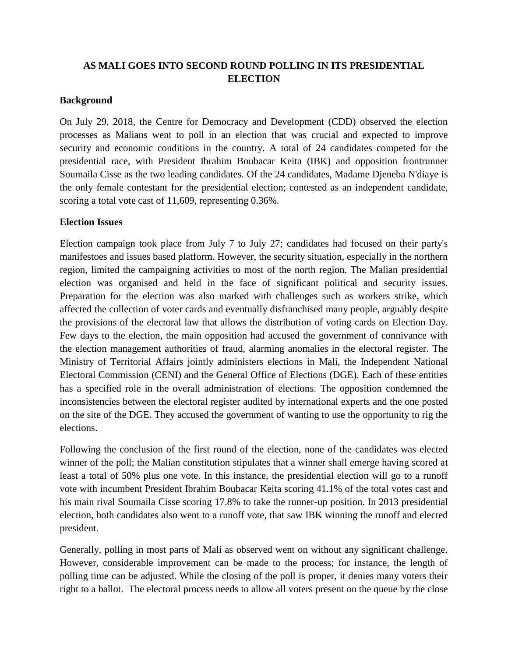## **AS MALI GOES INTO SECOND ROUND POLLING IN ITS PRESIDENTIAL ELECTION**

## **Background**

On July 29, 2018, the Centre for Democracy and Development (CDD) observed the election processes as Malians went to poll in an election that was crucial and expected to improve security and economic conditions in the country. A total of 24 candidates competed for the presidential race, with President Ibrahim Boubacar Keita (IBK) and opposition frontrunner Soumaila Cisse as the two leading candidates. Of the 24 candidates, Madame Djeneba N'diaye is the only female contestant for the presidential election; contested as an independent candidate, scoring a total vote cast of 11,609, representing 0.36%.

## **Election Issues**

Election campaign took place from July 7 to July 27; candidates had focused on their party's manifestoes and issues based platform. However, the security situation, especially in the northern region, limited the campaigning activities to most of the north region. The Malian presidential election was organised and held in the face of significant political and security issues. Preparation for the election was also marked with challenges such as workers strike, which affected the collection of voter cards and eventually disfranchised many people, arguably despite the provisions of the electoral law that allows the distribution of voting cards on Election Day. Few days to the election, the main opposition had accused the government of connivance with the election management authorities of fraud, alarming anomalies in the electoral register. The Ministry of Territorial Affairs jointly administers elections in Mali, the Independent National Electoral Commission (CENI) and the General Office of Elections (DGE). Each of these entities has a specified role in the overall administration of elections. The opposition condemned the inconsistencies between the electoral register audited by international experts and the one posted on the site of the DGE. They accused the government of wanting to use the opportunity to rig the elections.

Following the conclusion of the first round of the election, none of the candidates was elected winner of the poll; the Malian constitution stipulates that a winner shall emerge having scored at least a total of 50% plus one vote. In this instance, the presidential election will go to a runoff vote with incumbent President Ibrahim Boubacar Keita scoring 41.1% of the total votes cast and his main rival Soumaila Cisse scoring 17.8% to take the runner-up position. In 2013 presidential election, both candidates also went to a runoff vote, that saw IBK winning the runoff and elected president.

Generally, polling in most parts of Mali as observed went on without any significant challenge. However, considerable improvement can be made to the process; for instance, the length of polling time can be adjusted. While the closing of the poll is proper, it denies many voters their right to a ballot. The electoral process needs to allow all voters present on the queue by the close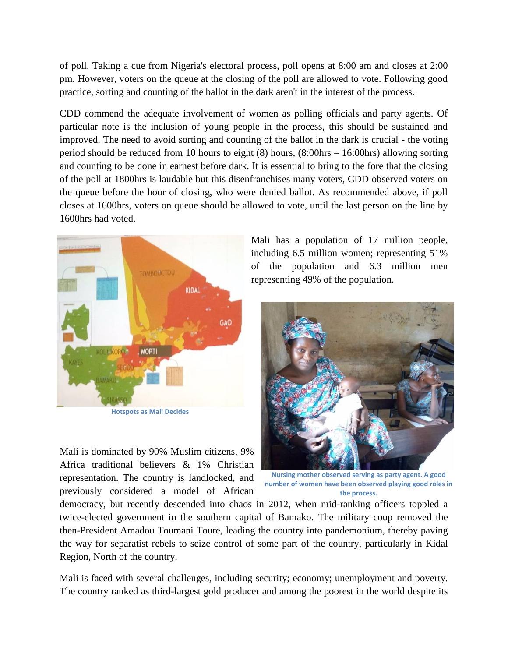of poll. Taking a cue from Nigeria's electoral process, poll opens at 8:00 am and closes at 2:00 pm. However, voters on the queue at the closing of the poll are allowed to vote. Following good practice, sorting and counting of the ballot in the dark aren't in the interest of the process.

CDD commend the adequate involvement of women as polling officials and party agents. Of particular note is the inclusion of young people in the process, this should be sustained and improved. The need to avoid sorting and counting of the ballot in the dark is crucial - the voting period should be reduced from 10 hours to eight (8) hours, (8:00hrs – 16:00hrs) allowing sorting and counting to be done in earnest before dark. It is essential to bring to the fore that the closing of the poll at 1800hrs is laudable but this disenfranchises many voters, CDD observed voters on the queue before the hour of closing, who were denied ballot. As recommended above, if poll closes at 1600hrs, voters on queue should be allowed to vote, until the last person on the line by 1600hrs had voted.



**Hotspots as Mali Decides**

Mali is dominated by 90% Muslim citizens, 9% Africa traditional believers & 1% Christian representation. The country is landlocked, and previously considered a model of African

Mali has a population of 17 million people, including 6.5 million women; representing 51% of the population and 6.3 million men representing 49% of the population.



**Nursing mother observed serving as party agent. A good number of women have been observed playing good roles in the process.**

democracy, but recently descended into chaos in 2012, when mid-ranking officers toppled a twice-elected government in the southern capital of Bamako. The military coup removed the then-President Amadou Toumani Toure, leading the country into pandemonium, thereby paving the way for separatist rebels to seize control of some part of the country, particularly in Kidal Region, North of the country.

Mali is faced with several challenges, including security; economy; unemployment and poverty. The country ranked as third-largest gold producer and among the poorest in the world despite its